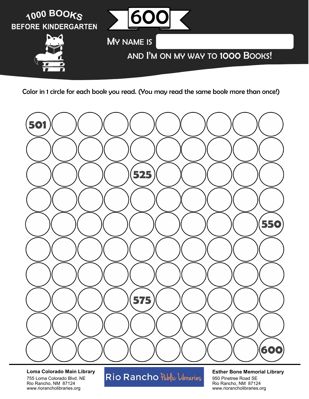



**Loma Colorado Main Library** 755 Loma Colorado Blvd. NE Rio Rancho, NM 87124 www.riorancholibraries.org

# Rio Rancho Public Libraries

### **Esther Bone Memorial Library**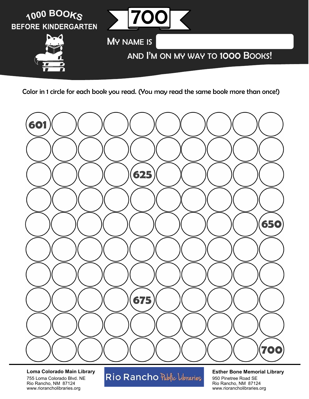



**Loma Colorado Main Library** 755 Loma Colorado Blvd. NE Rio Rancho, NM 87124 www.riorancholibraries.org

# Rio Rancho Public Libraries

### **Esther Bone Memorial Library**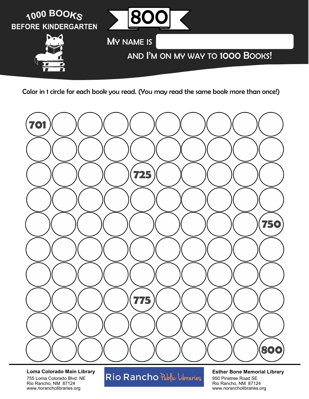



**Loma Colorado Main Library** 755 Loma Colorado Blvd. NE Rio Rancho, NM 87124 www.riorancholibraries.org

# Rio Rancho Public Libraries

### **Esther Bone Memorial Library**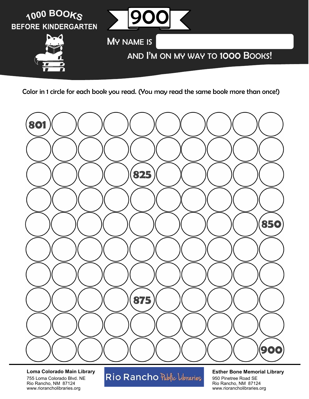



**Loma Colorado Main Library** 755 Loma Colorado Blvd. NE Rio Rancho, NM 87124 www.riorancholibraries.org

# Rio Rancho Public Libraries

### **Esther Bone Memorial Library**